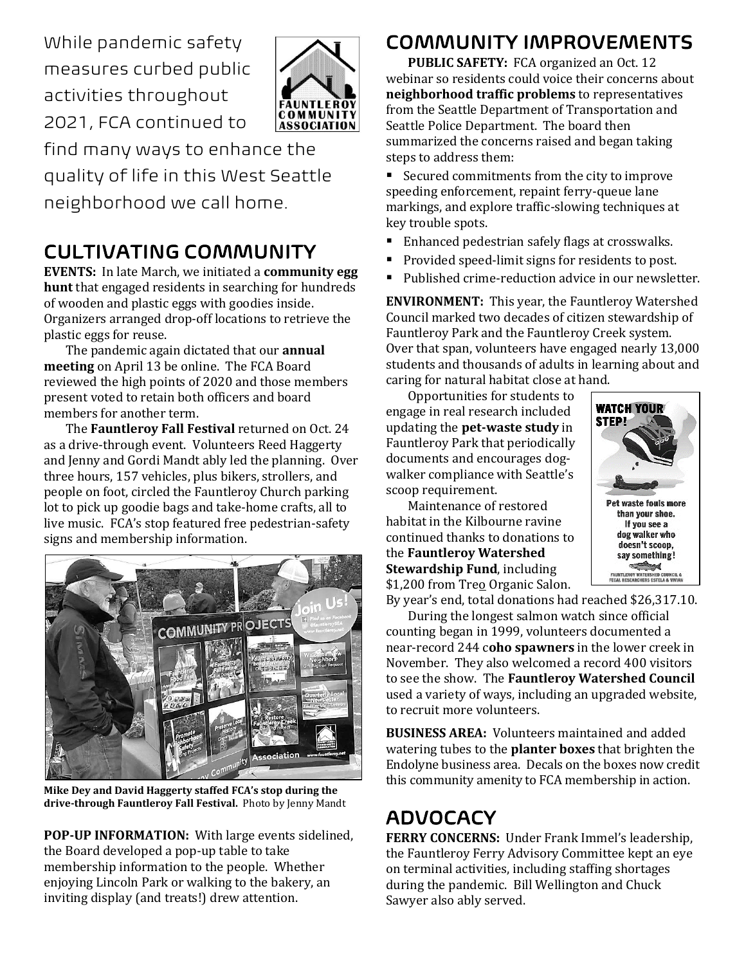While pandemic safety measures curbed public activities throughout 2021, FCA continued to



find many ways to enhance the quality of life in this West Seattle neighborhood we call home.

## CULTIVATING COMMUNITY

**EVENTS:** In late March, we initiated a **community egg hunt** that engaged residents in searching for hundreds of wooden and plastic eggs with goodies inside. Organizers arranged drop-off locations to retrieve the plastic eggs for reuse.

The pandemic again dictated that our **annual meeting** on April 13 be online. The FCA Board reviewed the high points of 2020 and those members present voted to retain both officers and board members for another term.

The **Fauntleroy Fall Festival** returned on Oct. 24 as a drive-through event. Volunteers Reed Haggerty and Jenny and Gordi Mandt ably led the planning. Over three hours, 157 vehicles, plus bikers, strollers, and people on foot, circled the Fauntleroy Church parking lot to pick up goodie bags and take-home crafts, all to live music. FCA's stop featured free pedestrian-safety signs and membership information.



**Mike Dey and David Haggerty staffed FCA's stop during the drive-through Fauntleroy Fall Festival.** Photo by Jenny Mandt

**POP-UP INFORMATION:** With large events sidelined, the Board developed a pop-up table to take membership information to the people. Whether enjoying Lincoln Park or walking to the bakery, an inviting display (and treats!) drew attention.

#### COMMUNITY IMPROVEMENTS

**PUBLIC SAFETY:** FCA organized an Oct. 12 webinar so residents could voice their concerns about **neighborhood traffic problems** to representatives from the Seattle Department of Transportation and Seattle Police Department. The board then summarized the concerns raised and began taking steps to address them:

■ Secured commitments from the city to improve speeding enforcement, repaint ferry-queue lane markings, and explore traffic-slowing techniques at key trouble spots.

- Enhanced pedestrian safely flags at crosswalks.
- Provided speed-limit signs for residents to post.
- Published crime-reduction advice in our newsletter.

**ENVIRONMENT:** This year, the Fauntleroy Watershed Council marked two decades of citizen stewardship of Fauntleroy Park and the Fauntleroy Creek system. Over that span, volunteers have engaged nearly 13,000 students and thousands of adults in learning about and caring for natural habitat close at hand.

Opportunities for students to engage in real research included updating the **pet-waste study** in Fauntleroy Park that periodically documents and encourages dogwalker compliance with Seattle's scoop requirement.

Maintenance of restored habitat in the Kilbourne ravine **WATCH YOUR STEP!** Pet waste fouls more than your shoe. If you see a dog walker who doesn't scoop, say something! **CALL AND AND REAL PROPERTY** 

continued thanks to donations to the **Fauntleroy Watershed Stewardship Fund**, including \$1,200 from Treo Organic Salon.

By year's end, total donations had reached \$26,317.10.

During the longest salmon watch since official counting began in 1999, volunteers documented a near-record 244 c**oho spawners** in the lower creek in November. They also welcomed a record 400 visitors to see the show. The **Fauntleroy Watershed Council** used a variety of ways, including an upgraded website, to recruit more volunteers.

**BUSINESS AREA:** Volunteers maintained and added watering tubes to the **planter boxes** that brighten the Endolyne business area. Decals on the boxes now credit this community amenity to FCA membership in action.

# ADVOCACY

**FERRY CONCERNS:** Under Frank Immel's leadership, the Fauntleroy Ferry Advisory Committee kept an eye on terminal activities, including staffing shortages during the pandemic. Bill Wellington and Chuck Sawyer also ably served.